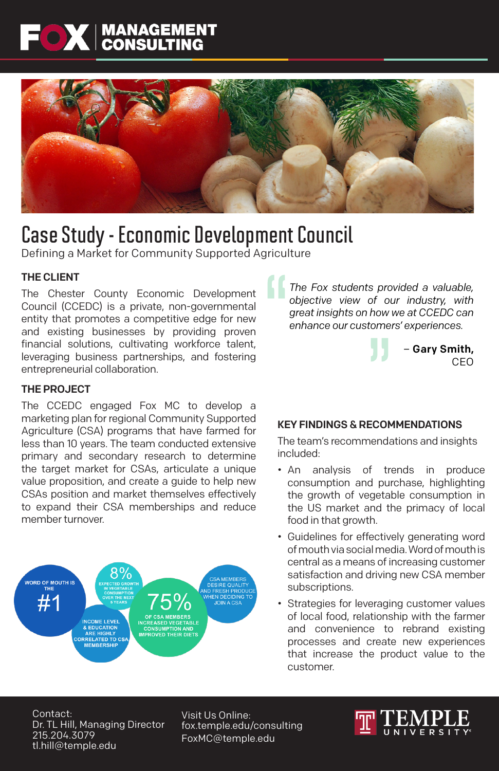# **FOX** MANAGEMENT



## Case Study - Economic Development Council

Defining a Market for Community Supported Agriculture

### THE CLIENT

The Chester County Economic Development Council (CCEDC) is a private, non-governmental entity that promotes a competitive edge for new and existing businesses by providing proven financial solutions, cultivating workforce talent, leveraging business partnerships, and fostering entrepreneurial collaboration.

THE PROJECT

The CCEDC engaged Fox MC to develop a marketing plan for regional Community Supported Agriculture (CSA) programs that have farmed for less than 10 years. The team conducted extensive primary and secondary research to determine the target market for CSAs, articulate a unique value proposition, and create a guide to help new CSAs position and market themselves effectively to expand their CSA memberships and reduce member turnover.



*The Fox students provided a valuable, objective view of our industry, with great insights on how we at CCEDC can enhance our customers' experiences.*

> – Gary Smith, CEO

#### KEY FINDINGS & RECOMMENDATIONS

The team's recommendations and insights included:

- An analysis of trends in produce consumption and purchase, highlighting the growth of vegetable consumption in the US market and the primacy of local food in that growth.
- Guidelines for effectively generating word of mouth via social media. Word of mouth is central as a means of increasing customer satisfaction and driving new CSA member subscriptions.
- Strategies for leveraging customer values of local food, relationship with the farmer and convenience to rebrand existing processes and create new experiences that increase the product value to the customer.

Contact: Dr. TL Hill, Managing Director 215.204.3079 tl.hill@temple.edu

Visit Us Online: fox.temple.edu/consulting FoxMC@temple.edu